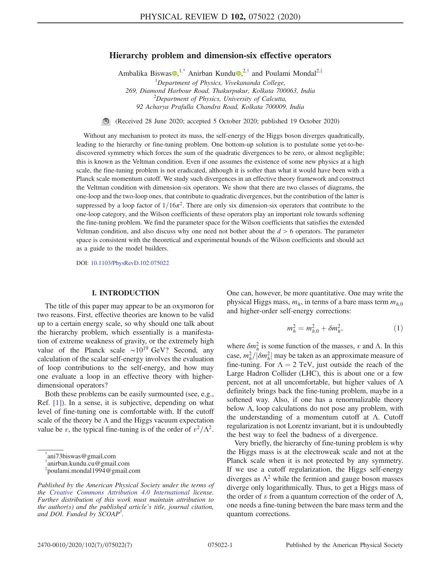# Hierarchy problem and dimension-six effective operators

Ambalika Biswas $\mathbf{Q},^{1,*}$  Anirban Kundu $\mathbf{Q},^{2,*}$  and Poulami Mondal<sup>2,‡</sup>

 ${}^{1}$ Department of Physics, Vivekananda College, 269, Diamond Harbour Road, Thakurpukur, Kolkata 700063, India  $^{2}$ Department of Physics, University of Calcutta, 92 Acharya Prafulla Chandra Road, Kolkata 700009, India

(Received 28 June 2020; accepted 5 October 2020; published 19 October 2020)  $\circledcirc$ 

Without any mechanism to protect its mass, the self-energy of the Higgs boson diverges quadratically, leading to the hierarchy or fine-tuning problem. One bottom-up solution is to postulate some yet-to-bediscovered symmetry which forces the sum of the quadratic divergences to be zero, or almost negligible; this is known as the Veltman condition. Even if one assumes the existence of some new physics at a high scale, the fine-tuning problem is not eradicated, although it is softer than what it would have been with a Planck scale momentum cutoff. We study such divergences in an effective theory framework and construct the Veltman condition with dimension-six operators. We show that there are two classes of diagrams, the one-loop and the two-loop ones, that contribute to quadratic divergences, but the contribution of the latter is suppressed by a loop factor of  $1/16\pi^2$ . There are only six dimension-six operators that contribute to the one-loop category, and the Wilson coefficients of these operators play an important role towards softening the fine-tuning problem. We find the parameter space for the Wilson coefficients that satisfies the extended Veltman condition, and also discuss why one need not bother about the  $d > 6$  operators. The parameter space is consistent with the theoretical and experimental bounds of the Wilson coefficients and should act as a guide to the model builders.

DOI: 10.1103/PhysRevD.102.075022

### I. INTRODUCTION

The title of this paper may appear to be an oxymoron for two reasons. First, effective theories are known to be valid up to a certain energy scale, so why should one talk about the hierarchy problem, which essentially is a manifestation of extreme weakness of gravity, or the extremely high value of the Planck scale  $\sim 10^{19}$  GeV? Second, any calculation of the scalar self-energy involves the evaluation of loop contributions to the self-energy, and how may one evaluate a loop in an effective theory with higherdimensional operators?

Both these problems can be easily surmounted (see, e.g., Ref. [1]). In a sense, it is subjective, depending on what level of fine-tuning one is comfortable with. If the cutoff scale of the theory be  $\Lambda$  and the Higgs vacuum expectation value be v, the typical fine-tuning is of the order of  $v^2/\Lambda^2$ . One can, however, be more quantitative. One may write the physical Higgs mass,  $m_h$ , in terms of a bare mass term  $m_{h,0}$ and higher-order self-energy corrections:

$$
m_h^2 = m_{h,0}^2 + \delta m_h^2, \tag{1}
$$

where  $\delta m_h^2$  is some function of the masses, v and  $\Lambda$ . In this case,  $m_h^2/|\delta m_h^2|$  may be taken as an approximate measure of fine-tuning. For  $\Lambda = 2$  TeV, just outside the reach of the Large Hadron Collider (LHC), this is about one or a few percent, not at all uncomfortable, but higher values of  $\Lambda$ definitely brings back the fine-tuning problem, maybe in a softened way. Also, if one has a renormalizable theory below Λ, loop calculations do not pose any problem, with the understanding of a momentum cutoff at  $\Lambda$ . Cutoff regularization is not Lorentz invariant, but it is undoubtedly the best way to feel the badness of a divergence.

Very briefly, the hierarchy of fine-tuning problem is why the Higgs mass is at the electroweak scale and not at the Planck scale when it is not protected by any symmetry. If we use a cutoff regularization, the Higgs self-energy diverges as  $\Lambda^2$  while the fermion and gauge boson masses diverge only logarithmically. Thus, to get a Higgs mass of the order of v from a quantum correction of the order of  $\Lambda$ , one needs a fine-tuning between the bare mass term and the quantum corrections.

<sup>\*</sup> ani73biswas@gmail.com

<sup>†</sup> anirban.kundu.cu@gmail.com

<sup>‡</sup> poulami.mondal1994@gmail.com

Published by the American Physical Society under the terms of the Creative Commons Attribution 4.0 International license. Further distribution of this work must maintain attribution to the author(s) and the published article's title, journal citation, and DOI. Funded by  $\dot{S}COAP^3$ .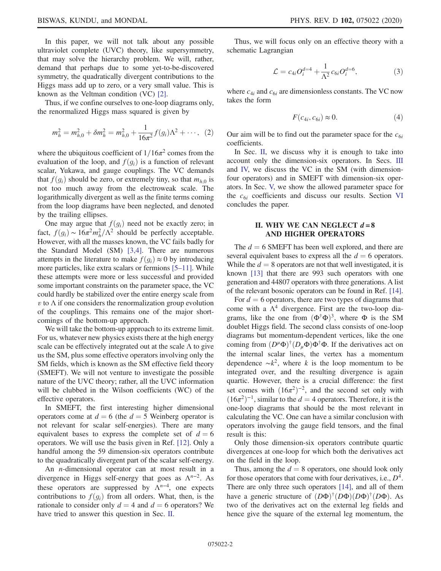In this paper, we will not talk about any possible ultraviolet complete (UVC) theory, like supersymmetry, that may solve the hierarchy problem. We will, rather, demand that perhaps due to some yet-to-be-discovered symmetry, the quadratically divergent contributions to the Higgs mass add up to zero, or a very small value. This is known as the Veltman condition (VC) [2].

Thus, if we confine ourselves to one-loop diagrams only, the renormalized Higgs mass squared is given by

$$
m_h^2 = m_{h,0}^2 + \delta m_h^2 = m_{h,0}^2 + \frac{1}{16\pi^2} f(g_i) \Lambda^2 + \cdots, \tag{2}
$$

where the ubiquitous coefficient of  $1/16\pi^2$  comes from the evaluation of the loop, and  $f(g_i)$  is a function of relevant scalar, Yukawa, and gauge couplings. The VC demands that  $f(g_i)$  should be zero, or extremely tiny, so that  $m_{h,0}$  is not too much away from the electroweak scale. The logarithmically divergent as well as the finite terms coming from the loop diagrams have been neglected, and denoted by the trailing ellipses.

One may argue that  $f(g_i)$  need not be exactly zero; in fact,  $f(g_i) \sim 16\pi^2 m_h^2/\Lambda^2$  should be perfectly acceptable. However, with all the masses known, the VC fails badly for the Standard Model (SM) [3,4]. There are numerous attempts in the literature to make  $f(g_i) \approx 0$  by introducing more particles, like extra scalars or fermions [5–11]. While these attempts were more or less successful and provided some important constraints on the parameter space, the VC could hardly be stabilized over the entire energy scale from  $v$  to  $\Lambda$  if one considers the renormalization group evolution of the couplings. This remains one of the major shortcomings of the bottom-up approach.

We will take the bottom-up approach to its extreme limit. For us, whatever new physics exists there at the high energy scale can be effectively integrated out at the scale  $\Lambda$  to give us the SM, plus some effective operators involving only the SM fields, which is known as the SM effective field theory (SMEFT). We will not venture to investigate the possible nature of the UVC theory; rather, all the UVC information will be clubbed in the Wilson coefficients (WC) of the effective operators.

In SMEFT, the first interesting higher dimensional operators come at  $d = 6$  (the  $d = 5$  Weinberg operator is not relevant for scalar self-energies). There are many equivalent bases to express the complete set of  $d = 6$ operators. We will use the basis given in Ref. [12]. Only a handful among the 59 dimension-six operators contribute to the quadratically divergent part of the scalar self-energy.

An n-dimensional operator can at most result in a divergence in Higgs self-energy that goes as  $\Lambda^{n-2}$ . As these operators are suppressed by  $\Lambda^{n-4}$ , one expects contributions to  $f(g_i)$  from all orders. What, then, is the rationale to consider only  $d = 4$  and  $d = 6$  operators? We have tried to answer this question in Sec. II.

Thus, we will focus only on an effective theory with a schematic Lagrangian

$$
\mathcal{L} = c_{4i} O_i^{d=4} + \frac{1}{\Lambda^2} c_{6i} O_i^{d=6},\tag{3}
$$

where  $c_{4i}$  and  $c_{6i}$  are dimensionless constants. The VC now takes the form

$$
F(c_{4i}, c_{6i}) \approx 0. \tag{4}
$$

Our aim will be to find out the parameter space for the  $c_{6i}$ coefficients.

In Sec. II, we discuss why it is enough to take into account only the dimension-six operators. In Secs. III and IV, we discuss the VC in the SM (with dimensionfour operators) and in SMEFT with dimension-six operators. In Sec. V, we show the allowed parameter space for the  $c_{6i}$  coefficients and discuss our results. Section VI concludes the paper.

# II. WHY WE CAN NEGLECT  $d = 8$ AND HIGHER OPERATORS

The  $d = 6$  SMEFT has been well explored, and there are several equivalent bases to express all the  $d = 6$  operators. While the  $d = 8$  operators are not that well investigated, it is known [13] that there are 993 such operators with one generation and 44807 operators with three generations. A list of the relevant bosonic operators can be found in Ref. [14].

For  $d = 6$  operators, there are two types of diagrams that come with a  $\Lambda^4$  divergence. First are the two-loop diagrams, like the one from  $(\Phi^{\dagger} \Phi)^3$ , where  $\Phi$  is the SM doublet Higgs field. The second class consists of one-loop diagrams but momentum-dependent vertices, like the one coming from  $(D^{\mu} \Phi)^{\dagger} (D_{\mu} \Phi) \Phi^{\dagger} \Phi$ . If the derivatives act on the internal scalar lines, the vertex has a momentum dependence  $\sim k^2$ , where k is the loop momentum to be integrated over, and the resulting divergence is again quartic. However, there is a crucial difference: the first set comes with  $(16\pi^2)^{-2}$ , and the second set only with  $(16\pi^2)^{-1}$ , similar to the  $d = 4$  operators. Therefore, it is the one-loop diagrams that should be the most relevant in calculating the VC. One can have a similar conclusion with operators involving the gauge field tensors, and the final result is this:

Only those dimension-six operators contribute quartic divergences at one-loop for which both the derivatives act on the field in the loop.

Thus, among the  $d = 8$  operators, one should look only for those operators that come with four derivatives, i.e.,  $D^4$ . There are only three such operators [14], and all of them have a generic structure of  $(D\Phi)^{\dagger} (D\Phi) (D\Phi)^{\dagger} (D\Phi)$ . As two of the derivatives act on the external leg fields and hence give the square of the external leg momentum, the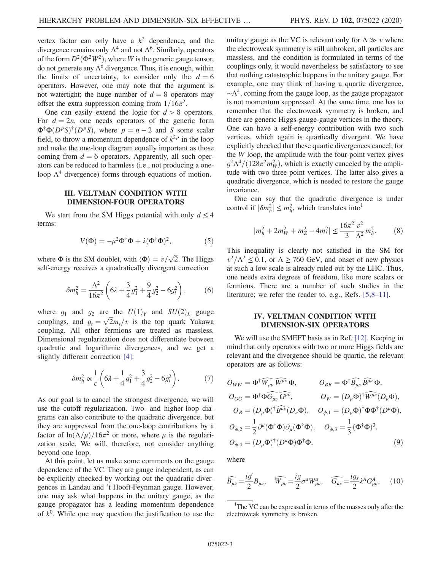vertex factor can only have a  $k^2$  dependence, and the divergence remains only  $\Lambda^4$  and not  $\Lambda^6$ . Similarly, operators of the form  $D^2(\Phi^2W^2)$ , where W is the generic gauge tensor, do not generate any  $\Lambda^6$  divergence. Thus, it is enough, within the limits of uncertainty, to consider only the  $d = 6$ operators. However, one may note that the argument is not watertight; the huge number of  $d = 8$  operators may offset the extra suppression coming from  $1/16\pi^2$ .

One can easily extend the logic for  $d > 8$  operators. For  $d = 2n$ , one needs operators of the generic form  $\Phi^{\dagger} \Phi (D^p S)^{\dagger} (D^p S)$ , where  $p = n - 2$  and S some scalar field, to throw a momentum dependence of  $k^{2p}$  in the loop and make the one-loop diagram equally important as those coming from  $d = 6$  operators. Apparently, all such operators can be reduced to harmless (i.e., not producing a oneloop  $\Lambda^4$  divergence) forms through equations of motion.

### III. VELTMAN CONDITION WITH DIMENSION-FOUR OPERATORS

We start from the SM Higgs potential with only  $d \leq 4$ terms:

$$
V(\Phi) = -\mu^2 \Phi^{\dagger} \Phi + \lambda (\Phi^{\dagger} \Phi)^2, \tag{5}
$$

where  $\Phi$  is the SM doublet, with  $\langle \Phi \rangle = v / \sqrt{2}$ . The Higgs self-energy receives a quadratically divergent correction

$$
\delta m_h^2 = \frac{\Lambda^2}{16\pi^2} \left( 6\lambda + \frac{3}{4} g_1^2 + \frac{9}{4} g_2^2 - 6g_t^2 \right),\tag{6}
$$

where  $g_1$  and  $g_2$  are the  $U(1)_Y$  and  $SU(2)_L$  gauge couplings, and  $g_t = \sqrt{2}m_t/v$  is the top quark Yukawa coupling. All other fermions are treated as massless. Dimensional regularization does not differentiate between quadratic and logarithmic divergences, and we get a slightly different correction [4]:

$$
\delta m_h^2 \propto \frac{1}{\epsilon} \left( 6\lambda + \frac{1}{4} g_1^2 + \frac{3}{4} g_2^2 - 6 g_t^2 \right). \tag{7}
$$

As our goal is to cancel the strongest divergence, we will use the cutoff regularization. Two- and higher-loop diagrams can also contribute to the quadratic divergence, but they are suppressed from the one-loop contributions by a factor of  $\ln(\Lambda/\mu)/16\pi^2$  or more, where  $\mu$  is the regularization scale. We will, therefore, not consider anything beyond one loop.

At this point, let us make some comments on the gauge dependence of the VC. They are gauge independent, as can be explicitly checked by working out the quadratic divergences in Landau and 't Hooft-Feynman gauge. However, one may ask what happens in the unitary gauge, as the gauge propagator has a leading momentum dependence of  $k^0$ . While one may question the justification to use the unitary gauge as the VC is relevant only for  $\Lambda \gg v$  where the electroweak symmetry is still unbroken, all particles are massless, and the condition is formulated in terms of the couplings only, it would nevertheless be satisfactory to see that nothing catastrophic happens in the unitary gauge. For example, one may think of having a quartic divergence, ∼Λ 4 , coming from the gauge loop, as the gauge propagator is not momentum suppressed. At the same time, one has to remember that the electroweak symmetry is broken, and there are generic Higgs-gauge-gauge vertices in the theory. One can have a self-energy contribution with two such vertices, which again is quartically divergent. We have explicitly checked that these quartic divergences cancel; for the  $W$  loop, the amplitude with the four-point vertex gives  $g^2 \Lambda^4 / (128 \pi^2 m_W^2)$ , which is exactly canceled by the amplitude with two three-point vertices. The latter also gives a quadratic divergence, which is needed to restore the gauge invariance.

One can say that the quadratic divergence is under control if  $|\delta m_h^2| \le m_h^2$ , which translates into<sup>1</sup>

$$
|m_h^2 + 2m_W^2 + m_Z^2 - 4m_t^2| \le \frac{16\pi^2}{3} \frac{v^2}{\Lambda^2} m_h^2.
$$
 (8)

This inequality is clearly not satisfied in the SM for  $v^2/\Lambda^2 \le 0.1$ , or  $\Lambda \ge 760$  GeV, and onset of new physics at such a low scale is already ruled out by the LHC. Thus, one needs extra degrees of freedom, like more scalars or fermions. There are a number of such studies in the literature; we refer the reader to, e.g., Refs. [5,8–11].

### IV. VELTMAN CONDITION WITH DIMENSION-SIX OPERATORS

We will use the SMEFT basis as in Ref. [12]. Keeping in mind that only operators with two or more Higgs fields are relevant and the divergence should be quartic, the relevant operators are as follows:

$$
O_{WW} = \Phi^{\dagger} \widehat{W_{\mu\nu}} \widehat{W^{\mu\nu}} \Phi, \qquad O_{BB} = \Phi^{\dagger} \widehat{B_{\mu\nu}} \widehat{B^{\mu\nu}} \Phi,
$$
  
\n
$$
O_{GG} = \Phi^{\dagger} \Phi \widehat{G_{\mu\nu}} \widehat{G^{\mu\nu}}, \qquad O_W = (D_{\mu} \Phi)^{\dagger} \widehat{W^{\mu\nu}} (D_{\nu} \Phi),
$$
  
\n
$$
O_B = (D_{\mu} \Phi)^{\dagger} \widehat{B^{\mu\nu}} (D_{\nu} \Phi), \qquad O_{\phi,1} = (D_{\mu} \Phi)^{\dagger} \Phi \Phi^{\dagger} (D^{\mu} \Phi),
$$
  
\n
$$
O_{\phi,2} = \frac{1}{2} \partial^{\mu} (\Phi^{\dagger} \Phi) \partial_{\mu} (\Phi^{\dagger} \Phi), \qquad O_{\phi,3} = \frac{1}{3} (\Phi^{\dagger} \Phi)^3,
$$
  
\n
$$
O_{\phi,4} = (D_{\mu} \Phi)^{\dagger} (D^{\mu} \Phi) \Phi^{\dagger} \Phi, \qquad (9)
$$

where

$$
\widehat{B_{\mu\nu}} = \frac{ig'}{2} B_{\mu\nu}, \quad \widehat{W_{\mu\nu}} = \frac{ig}{2} \sigma^a W^a_{\mu\nu}, \quad \widehat{G_{\mu\nu}} = \frac{ig_s}{2} \lambda^A G^A_{\mu\nu}, \quad (10)
$$

<sup>&</sup>lt;sup>1</sup>The VC can be expressed in terms of the masses only after the electroweak symmetry is broken.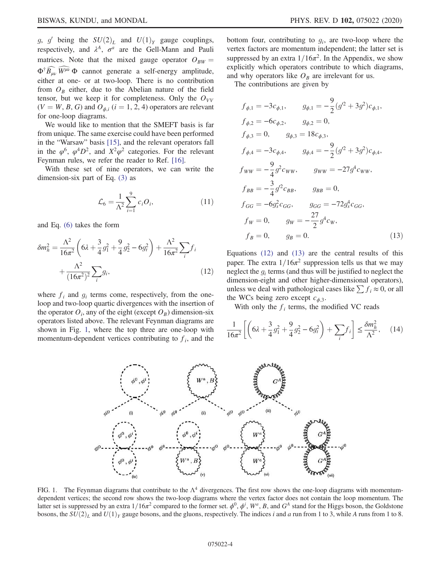g, g' being the  $SU(2)_L$  and  $U(1)_Y$  gauge couplings, respectively, and  $\lambda^A$ ,  $\sigma^a$  are the Gell-Mann and Pauli matrices. Note that the mixed gauge operator  $O_{BW} =$  $\Phi^{\dagger} \widehat{B_{\mu\nu}} \widehat{W^{\mu\nu}} \Phi$  cannot generate a self-energy amplitude, either at one- or at two-loop. There is no contribution from  $O_B$  either, due to the Abelian nature of the field tensor, but we keep it for completeness. Only the  $O_{VV}$  $(V = W, B, G)$  and  $O_{\phi, i}$   $(i = 1, 2, 4)$  operators are relevant for one-loop diagrams.

We would like to mention that the SMEFT basis is far from unique. The same exercise could have been performed in the "Warsaw" basis [15], and the relevant operators fall in the  $\varphi^6$ ,  $\varphi^4 D^2$ , and  $X^2 \varphi^2$  categories. For the relevant Feynman rules, we refer the reader to Ref. [16].

With these set of nine operators, we can write the dimension-six part of Eq. (3) as

$$
\mathcal{L}_6 = \frac{1}{\Lambda^2} \sum_{i=1}^{9} c_i O_i,
$$
\n(11)

and Eq. (6) takes the form

$$
\delta m_h^2 = \frac{\Lambda^2}{16\pi^2} \left( 6\lambda + \frac{3}{4} g_1^2 + \frac{9}{4} g_2^2 - 6g_t^2 \right) + \frac{\Lambda^2}{16\pi^2} \sum_i f_i + \frac{\Lambda^2}{(16\pi^2)^2} \sum_i g_i,
$$
\n(12)

where  $f_i$  and  $g_i$  terms come, respectively, from the oneloop and two-loop quartic divergences with the insertion of the operator  $O_i$ , any of the eight (except  $O_B$ ) dimension-six operators listed above. The relevant Feynman diagrams are shown in Fig. 1, where the top three are one-loop with momentum-dependent vertices contributing to  $f_i$ , and the

bottom four, contributing to  $g_i$ , are two-loop where the vertex factors are momentum independent; the latter set is suppressed by an extra  $1/16\pi^2$ . In the Appendix, we show explicitly which operators contribute to which diagrams, and why operators like  $O_B$  are irrelevant for us.

The contributions are given by

$$
f_{\phi,1} = -3c_{\phi,1}, \qquad g_{\phi,1} = -\frac{9}{2}(g^2 + 3g^2)c_{\phi,1},
$$
  
\n
$$
f_{\phi,2} = -6c_{\phi,2}, \qquad g_{\phi,2} = 0,
$$
  
\n
$$
f_{\phi,3} = 0, \qquad g_{\phi,3} = 18c_{\phi,3},
$$
  
\n
$$
f_{\phi,4} = -3c_{\phi,4}, \qquad g_{\phi,4} = -\frac{9}{2}(g^2 + 3g^2)c_{\phi,4},
$$
  
\n
$$
f_{WW} = -\frac{9}{4}g^2c_{WW}, \qquad g_{WW} = -27g^4c_{WW},
$$
  
\n
$$
f_{BB} = -\frac{3}{4}g^2c_{BB}, \qquad g_{BB} = 0,
$$
  
\n
$$
f_{GG} = -6g_s^2c_{GG}, \qquad g_{GG} = -72g_s^4c_{GG},
$$
  
\n
$$
f_W = 0, \qquad g_W = -\frac{27}{2}g^4c_W,
$$
  
\n
$$
f_B = 0, \qquad g_B = 0.
$$
  
\n(13)

Equations (12) and (13) are the central results of this paper. The extra  $1/16\pi^2$  suppression tells us that we may neglect the  $g_i$  terms (and thus will be justified to neglect the dimension-eight and other higher-dimensional operators), unless we deal with pathological cases like  $\sum f_i \approx 0$ , or all the WCs being zero except  $c_{\phi,3}$ .

With only the  $f_i$  terms, the modified VC reads

$$
\frac{1}{16\pi^2} \left[ \left( 6\lambda + \frac{3}{4} g_1^2 + \frac{9}{4} g_2^2 - 6g_t^2 \right) + \sum_i f_i \right] \le \frac{\delta m_h^2}{\Lambda^2}, \quad (14)
$$



FIG. 1. The Feynman diagrams that contribute to the  $\Lambda^4$  divergences. The first row shows the one-loop diagrams with momentumdependent vertices; the second row shows the two-loop diagrams where the vertex factor does not contain the loop momentum. The latter set is suppressed by an extra  $1/16\pi^2$  compared to the former set.  $\phi^0$ ,  $\phi^i$ ,  $W^a$ , B, and  $G^A$  stand for the Higgs boson, the Goldstone bosons, the  $SU(2)_L$  and  $U(1)_Y$  gauge bosons, and the gluons, respectively. The indices i and a run from 1 to 3, while A runs from 1 to 8.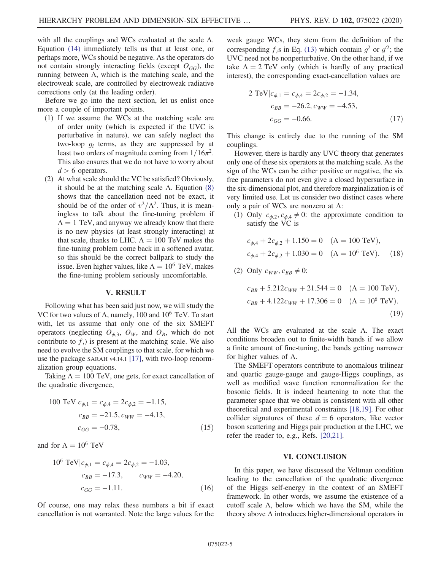with all the couplings and WCs evaluated at the scale  $\Lambda$ . Equation (14) immediately tells us that at least one, or perhaps more, WCs should be negative. As the operators do not contain strongly interacting fields (except  $O_{GG}$ ), the running between Λ, which is the matching scale, and the electroweak scale, are controlled by electroweak radiative corrections only (at the leading order).

Before we go into the next section, let us enlist once more a couple of important points.

- (1) If we assume the WCs at the matching scale are of order unity (which is expected if the UVC is perturbative in nature), we can safely neglect the two-loop  $g_i$  terms, as they are suppressed by at least two orders of magnitude coming from  $1/16\pi^2$ . This also ensures that we do not have to worry about  $d > 6$  operators.
- (2) At what scale should the VC be satisfied? Obviously, it should be at the matching scale Λ. Equation (8) shows that the cancellation need not be exact, it should be of the order of  $v^2/\Lambda^2$ . Thus, it is meaningless to talk about the fine-tuning problem if  $\Lambda = 1$  TeV, and anyway we already know that there is no new physics (at least strongly interacting) at that scale, thanks to LHC.  $\Lambda = 100$  TeV makes the fine-tuning problem come back in a softened avatar, so this should be the correct ballpark to study the issue. Even higher values, like  $\Lambda = 10^6$  TeV, makes the fine-tuning problem seriously uncomfortable.

#### V. RESULT

Following what has been said just now, we will study the VC for two values of  $\Lambda$ , namely, 100 and 10<sup>6</sup> TeV. To start with, let us assume that only one of the six SMEFT operators (neglecting  $O_{\phi,3}$ ,  $O_W$ , and  $O_B$ , which do not contribute to  $f_i$ ) is present at the matching scale. We also need to evolve the SM couplings to that scale, for which we use the package SARAH v4.14.1 [17], with two-loop renormalization group equations.

Taking  $\Lambda = 100$  TeV, one gets, for exact cancellation of the quadratic divergence,

100 TeV|
$$
c_{\phi,1} = c_{\phi,4} = 2c_{\phi,2} = -1.15
$$
,  
\n $c_{BB} = -21.5$ ,  $c_{WW} = -4.13$ ,  
\n $c_{GG} = -0.78$ , (15)

and for  $\Lambda = 10^6$  TeV

10<sup>6</sup> TeV|
$$
c_{\phi,1} = c_{\phi,4} = 2c_{\phi,2} = -1.03
$$
,  
\n $c_{BB} = -17.3$ ,  $c_{WW} = -4.20$ ,  
\n $c_{GG} = -1.11$ . (16)

Of course, one may relax these numbers a bit if exact cancellation is not warranted. Note the large values for the weak gauge WCs, they stem from the definition of the corresponding  $f_i$ s in Eq. (13) which contain  $g^2$  or  $g'^2$ ; the UVC need not be nonperturbative. On the other hand, if we take  $\Lambda = 2$  TeV only (which is hardly of any practical interest), the corresponding exact-cancellation values are

2 TeV|
$$
c_{\phi,1} = c_{\phi,4} = 2c_{\phi,2} = -1.34
$$
,  
\n $c_{BB} = -26.2$ ,  $c_{WW} = -4.53$ ,  
\n $c_{GG} = -0.66$ . (17)

This change is entirely due to the running of the SM couplings.

However, there is hardly any UVC theory that generates only one of these six operators at the matching scale. As the sign of the WCs can be either positive or negative, the six free parameters do not even give a closed hypersurface in the six-dimensional plot, and therefore marginalization is of very limited use. Let us consider two distinct cases where only a pair of WCs are nonzero at Λ:

(1) Only  $c_{\phi,2}, c_{\phi,4} \neq 0$ : the approximate condition to satisfy the VC is

$$
c_{\phi,4} + 2c_{\phi,2} + 1.150 = 0 \quad (\Lambda = 100 \text{ TeV}),
$$
  

$$
c_{\phi,4} + 2c_{\phi,2} + 1.030 = 0 \quad (\Lambda = 10^6 \text{ TeV}). \quad (18)
$$

(2) Only  $c_{WW}, c_{BB} \neq 0$ :

$$
c_{BB} + 5.212c_{WW} + 21.544 = 0 \quad (\Lambda = 100 \text{ TeV}),
$$
  
\n
$$
c_{BB} + 4.122c_{WW} + 17.306 = 0 \quad (\Lambda = 10^6 \text{ TeV}).
$$
  
\n(19)

All the WCs are evaluated at the scale Λ. The exact conditions broaden out to finite-width bands if we allow a finite amount of fine-tuning, the bands getting narrower for higher values of  $\Lambda$ .

The SMEFT operators contribute to anomalous trilinear and quartic gauge-gauge and gauge-Higgs couplings, as well as modified wave function renormalization for the bosonic fields. It is indeed heartening to note that the parameter space that we obtain is consistent with all other theoretical and experimental constraints [18,19]. For other collider signatures of these  $d = 6$  operators, like vector boson scattering and Higgs pair production at the LHC, we refer the reader to, e.g., Refs. [20,21].

#### VI. CONCLUSION

In this paper, we have discussed the Veltman condition leading to the cancellation of the quadratic divergence of the Higgs self-energy in the context of an SMEFT framework. In other words, we assume the existence of a cutoff scale  $\Lambda$ , below which we have the SM, while the theory above  $\Lambda$  introduces higher-dimensional operators in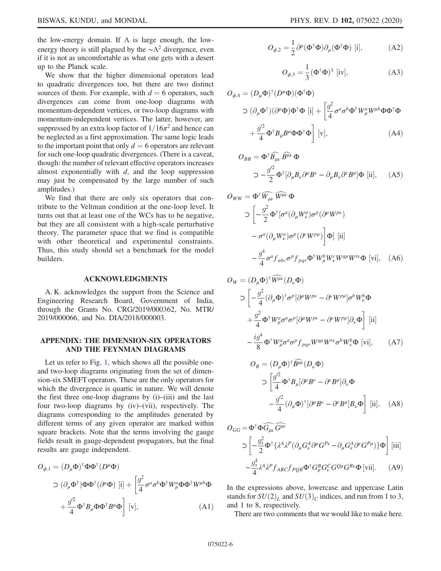the low-energy domain. If  $\Lambda$  is large enough, the lowenergy theory is still plagued by the  $\sim \Lambda^2$  divergence, even if it is not as uncomfortable as what one gets with a desert up to the Planck scale.

We show that the higher dimensional operators lead to quadratic divergences too, but there are two distinct sources of them. For example, with  $d = 6$  operators, such divergences can come from one-loop diagrams with momentum-dependent vertices, or two-loop diagrams with momentum-independent vertices. The latter, however, are suppressed by an extra loop factor of  $1/16\pi^2$  and hence can be neglected as a first approximation. The same logic leads to the important point that only  $d = 6$  operators are relevant for such one-loop quadratic divergences. (There is a caveat, though: the number of relevant effective operators increases almost exponentially with  $d$ , and the loop suppression may just be compensated by the large number of such amplitudes.)

We find that there are only six operators that contribute to the Veltman condition at the one-loop level. It turns out that at least one of the WCs has to be negative, but they are all consistent with a high-scale perturbative theory. The parameter space that we find is compatible with other theoretical and experimental constraints. Thus, this study should set a benchmark for the model builders.

#### ACKNOWLEDGMENTS

A. K. acknowledges the support from the Science and Engineering Research Board, Government of India, through the Grants No. CRG/2019/000362, No. MTR/ 2019/000066, and No. DIA/2018/000003.

## APPENDIX: THE DIMENSION-SIX OPERATORS AND THE FEYNMAN DIAGRAMS

Let us refer to Fig. 1, which shows all the possible oneand two-loop diagrams originating from the set of dimension-six SMEFT operators. These are the only operators for which the divergence is quartic in nature. We will denote the first three one-loop diagrams by (i)–(iii) and the last four two-loop diagrams by (iv)–(vii), respectively. The diagrams corresponding to the amplitudes generated by different terms of any given operator are marked within square brackets. Note that the terms involving the gauge fields result in gauge-dependent propagators, but the final results are gauge independent.

$$
O_{\phi,1} = (D_{\mu}\Phi)^{\dagger} \Phi \Phi^{\dagger} (D^{\mu}\Phi)
$$
  
\n
$$
\supset (\partial_{\mu}\Phi^{\dagger}) \Phi \Phi^{\dagger} (\partial^{\mu}\Phi) [i] + \left[ \frac{g^2}{4} \sigma^a \sigma^b \Phi^{\dagger} W^a_{\mu} \Phi \Phi^{\dagger} W^{\mu b} \Phi
$$
  
\n
$$
+ \frac{g'^2}{4} \Phi^{\dagger} B_{\mu} \Phi \Phi^{\dagger} B^{\mu} \Phi \right] [v],
$$
 (A1)

$$
O_{\phi,2} = \frac{1}{2} \partial^{\mu} (\Phi^{\dagger} \Phi) \partial_{\mu} (\Phi^{\dagger} \Phi) \text{ [i]}, \quad (A2)
$$

$$
O_{\phi,3} = \frac{1}{3} (\Phi^{\dagger} \Phi)^3
$$
 [iv], \t(A3)

$$
O_{\phi,4} = (D_{\mu}\Phi)^{\dagger} (D^{\mu}\Phi)(\Phi^{\dagger}\Phi)
$$
  
\n
$$
\supset (\partial_{\mu}\Phi^{\dagger})(\partial^{\mu}\Phi)\Phi^{\dagger}\Phi \text{ [i]} + \left[\frac{g^2}{4}\sigma^a\sigma^b\Phi^{\dagger}W^a_{\mu}W^{\mu b}\Phi\Phi^{\dagger}\Phi + \frac{g'^2}{4}\Phi^{\dagger}B_{\mu}B^{\mu}\Phi\Phi^{\dagger}\Phi\right] \text{ [v]},
$$
 (A4)

$$
O_{BB} = \Phi^{\dagger} \widehat{B_{\mu\nu}} \widehat{B^{\mu\nu}} \Phi
$$
  

$$
\supset -\frac{g^2}{2} \Phi^{\dagger} [\partial_{\mu} B_{\nu} \partial^{\mu} B^{\nu} - \partial_{\mu} B_{\nu} \partial^{\nu} B^{\mu}] \Phi \text{ [ii]}, \quad (A5)
$$

$$
O_{WW} = \Phi^{\dagger} \widehat{W_{\mu\nu}} \widehat{W^{\mu\nu}} \Phi
$$
  
\n
$$
\supset \left[ -\frac{g^2}{2} \Phi^{\dagger} [\sigma^a (\partial_{\mu} W_{\nu}^a) \sigma^p (\partial^{\mu} W^{p\nu}) - \sigma^a (\partial_{\mu} W_{\nu}^a) \sigma^p (\partial^{\nu} W^{p\mu}) \right] \Phi \right] [ii]
$$
  
\n
$$
-\frac{g^4}{4} \sigma^a f_{abc} \sigma^p f_{pqr} \Phi^{\dagger} W_{\mu}^b W_{\nu}^c W^{q\mu} W^{r\nu} \Phi \text{ [vi]}, \quad (A6)
$$

$$
O_W = (D_\mu \Phi)^\dagger \widehat{W^{\mu\nu}} (D_\nu \Phi)
$$
  
\n
$$
\supset \left[ -\frac{g^2}{4} (\partial_\mu \Phi)^\dagger \sigma^p [\partial^\mu W^{p\nu} - \partial^\nu W^{p\mu}] \sigma^b W^b_\nu \Phi \right.
$$
  
\n
$$
+ \frac{g^2}{4} \Phi^\dagger W^a_\mu \sigma^a \sigma^p [\partial^\mu W^{p\nu} - \partial^\nu W^{p\mu}] \partial_\nu \Phi \right] [ii]
$$
  
\n
$$
- \frac{ig^4}{8} \Phi^\dagger W^a_\mu \sigma^a \sigma^p f_{pqr} W^{q\mu} W^{r\nu} \sigma^b W^b_\nu \Phi [vi], \qquad (A7)
$$

$$
O_B = (D_\mu \Phi)^\dagger \widehat{B^{\mu\nu}} (D_\nu \Phi)
$$
  
\n
$$
\supset \left[ \frac{g^2}{4} \Phi^\dagger B_\mu [\partial^\mu B^\nu - \partial^\nu B^\mu] \partial_\nu \Phi - \frac{g^2}{4} (\partial_\mu \Phi)^\dagger [\partial^\mu B^\nu - \partial^\nu B^\mu] B_\nu \Phi \right] [\text{ii}], \quad (A8)
$$

$$
O_{GG} = \Phi^{\dagger} \Phi \widehat{G_{\mu\nu}} \widehat{G^{\mu\nu}}
$$

$$
\supset \left[ -\frac{g_s^2}{2} \Phi^{\dagger} \{ \lambda^A \lambda^P (\partial_{\mu} G_{\nu}^A \partial^{\mu} G^{P\nu} - \partial_{\mu} G_{\nu}^A \partial^{\nu} G^{P\mu}) \} \Phi \right] \text{[iii]}
$$

$$
-\frac{g_s^4}{4} \lambda^A \lambda^P f_{ABC} f_{PQR} \Phi^{\dagger} G_{\mu}^B G_{\nu}^C G^{Q\mu} G^{R\nu} \Phi \text{[vii]}.
$$
 (A9)

In the expressions above, lowercase and uppercase Latin stands for  $SU(2)_L$  and  $SU(3)_C$  indices, and run from 1 to 3, and 1 to 8, respectively.

There are two comments that we would like to make here.